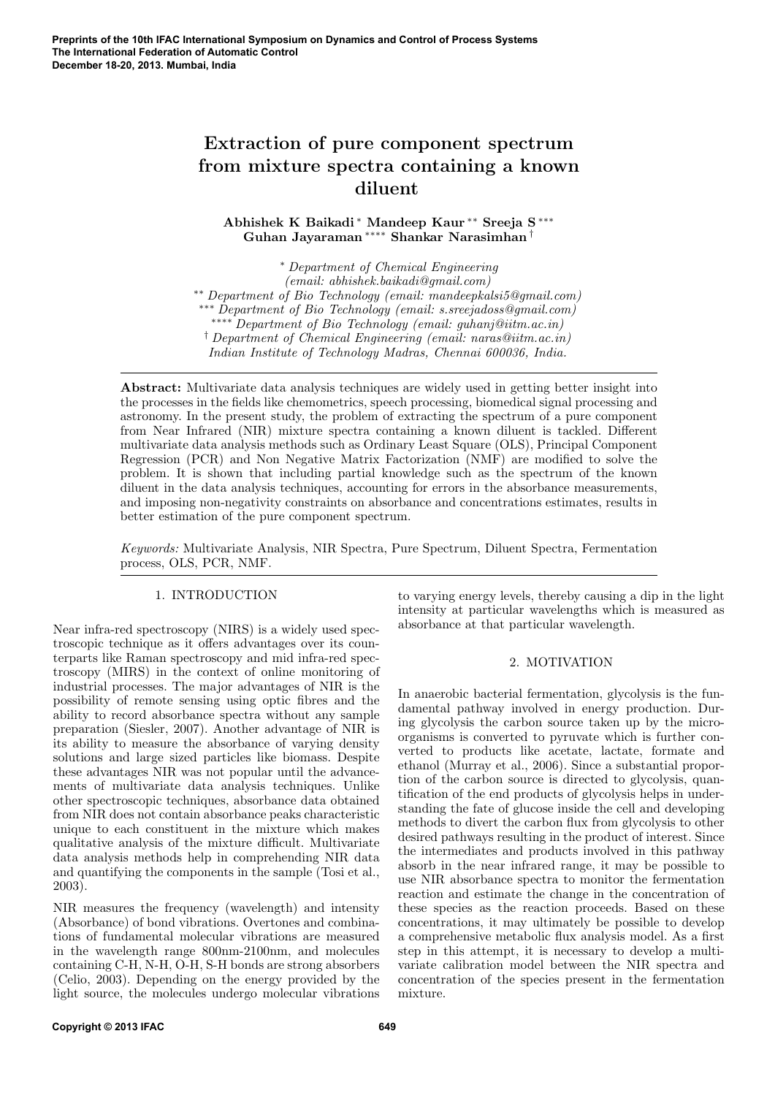# Extraction of pure component spectrum from mixture spectra containing a known diluent

Abhishek K Baikadi <sup>∗</sup> Mandeep Kaur ∗∗ Sreeja S ∗∗∗ Guhan Jayaraman ∗∗∗∗ Shankar Narasimhan †

<sup>∗</sup> Department of Chemical Engineering (email: abhishek.baikadi@gmail.com) ∗∗ Department of Bio Technology (email: mandeepkalsi5@gmail.com) ∗∗∗ Department of Bio Technology (email: s.sreejadoss@gmail.com) ∗∗∗∗ Department of Bio Technology (email: guhanj@iitm.ac.in) † Department of Chemical Engineering (email: naras@iitm.ac.in) Indian Institute of Technology Madras, Chennai 600036, India.

Abstract: Multivariate data analysis techniques are widely used in getting better insight into the processes in the fields like chemometrics, speech processing, biomedical signal processing and astronomy. In the present study, the problem of extracting the spectrum of a pure component from Near Infrared (NIR) mixture spectra containing a known diluent is tackled. Different multivariate data analysis methods such as Ordinary Least Square (OLS), Principal Component Regression (PCR) and Non Negative Matrix Factorization (NMF) are modified to solve the problem. It is shown that including partial knowledge such as the spectrum of the known diluent in the data analysis techniques, accounting for errors in the absorbance measurements, and imposing non-negativity constraints on absorbance and concentrations estimates, results in better estimation of the pure component spectrum.

Keywords: Multivariate Analysis, NIR Spectra, Pure Spectrum, Diluent Spectra, Fermentation process, OLS, PCR, NMF.

## 1. INTRODUCTION

Near infra-red spectroscopy (NIRS) is a widely used spectroscopic technique as it offers advantages over its counterparts like Raman spectroscopy and mid infra-red spectroscopy (MIRS) in the context of online monitoring of industrial processes. The major advantages of NIR is the possibility of remote sensing using optic fibres and the ability to record absorbance spectra without any sample preparation (Siesler, 2007). Another advantage of NIR is its ability to measure the absorbance of varying density solutions and large sized particles like biomass. Despite these advantages NIR was not popular until the advancements of multivariate data analysis techniques. Unlike other spectroscopic techniques, absorbance data obtained from NIR does not contain absorbance peaks characteristic unique to each constituent in the mixture which makes qualitative analysis of the mixture difficult. Multivariate data analysis methods help in comprehending NIR data and quantifying the components in the sample (Tosi et al., 2003).

NIR measures the frequency (wavelength) and intensity (Absorbance) of bond vibrations. Overtones and combinations of fundamental molecular vibrations are measured in the wavelength range 800nm-2100nm, and molecules containing C-H, N-H, O-H, S-H bonds are strong absorbers (Celio, 2003). Depending on the energy provided by the light source, the molecules undergo molecular vibrations

to varying energy levels, thereby causing a dip in the light intensity at particular wavelengths which is measured as absorbance at that particular wavelength.

# 2. MOTIVATION

In anaerobic bacterial fermentation, glycolysis is the fundamental pathway involved in energy production. During glycolysis the carbon source taken up by the microorganisms is converted to pyruvate which is further converted to products like acetate, lactate, formate and ethanol (Murray et al., 2006). Since a substantial proportion of the carbon source is directed to glycolysis, quantification of the end products of glycolysis helps in understanding the fate of glucose inside the cell and developing methods to divert the carbon flux from glycolysis to other desired pathways resulting in the product of interest. Since the intermediates and products involved in this pathway absorb in the near infrared range, it may be possible to use NIR absorbance spectra to monitor the fermentation reaction and estimate the change in the concentration of these species as the reaction proceeds. Based on these concentrations, it may ultimately be possible to develop a comprehensive metabolic flux analysis model. As a first step in this attempt, it is necessary to develop a multivariate calibration model between the NIR spectra and concentration of the species present in the fermentation mixture.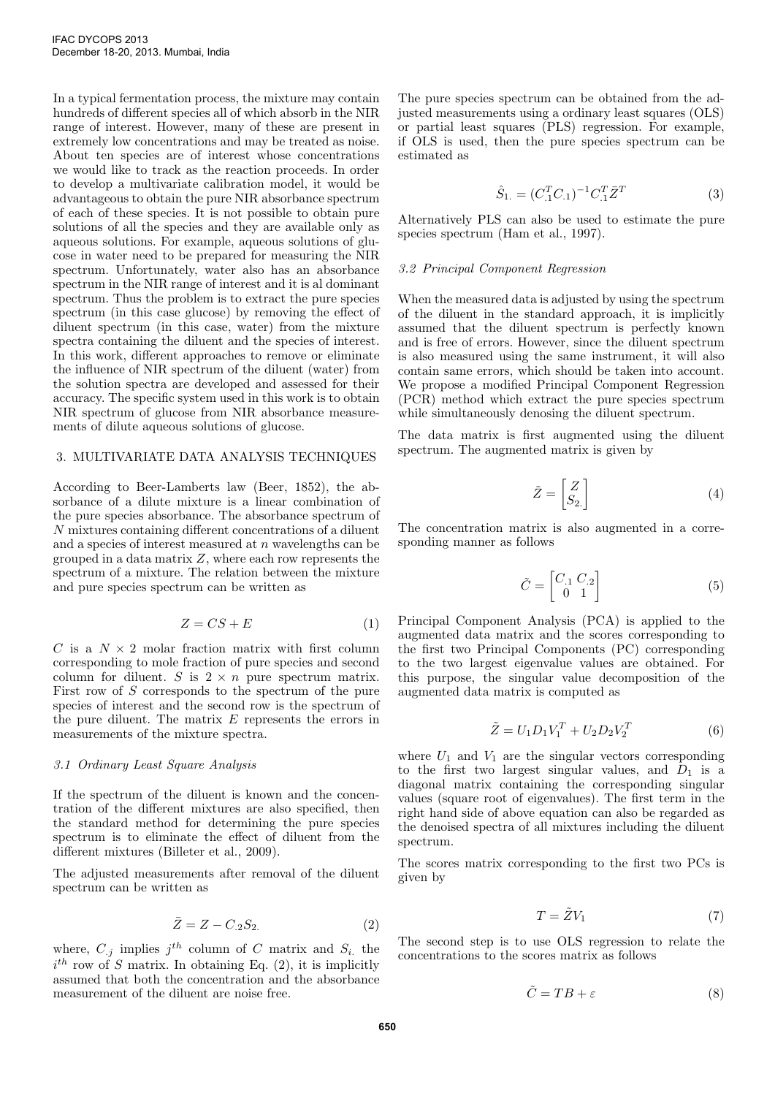In a typical fermentation process, the mixture may contain hundreds of different species all of which absorb in the NIR range of interest. However, many of these are present in extremely low concentrations and may be treated as noise. About ten species are of interest whose concentrations we would like to track as the reaction proceeds. In order to develop a multivariate calibration model, it would be advantageous to obtain the pure NIR absorbance spectrum of each of these species. It is not possible to obtain pure solutions of all the species and they are available only as aqueous solutions. For example, aqueous solutions of glucose in water need to be prepared for measuring the NIR spectrum. Unfortunately, water also has an absorbance spectrum in the NIR range of interest and it is al dominant spectrum. Thus the problem is to extract the pure species spectrum (in this case glucose) by removing the effect of diluent spectrum (in this case, water) from the mixture spectra containing the diluent and the species of interest. In this work, different approaches to remove or eliminate the influence of NIR spectrum of the diluent (water) from the solution spectra are developed and assessed for their accuracy. The specific system used in this work is to obtain NIR spectrum of glucose from NIR absorbance measurements of dilute aqueous solutions of glucose.

### 3. MULTIVARIATE DATA ANALYSIS TECHNIQUES

According to Beer-Lamberts law (Beer, 1852), the absorbance of a dilute mixture is a linear combination of the pure species absorbance. The absorbance spectrum of N mixtures containing different concentrations of a diluent and a species of interest measured at  $n$  wavelengths can be grouped in a data matrix  $Z$ , where each row represents the spectrum of a mixture. The relation between the mixture and pure species spectrum can be written as

$$
Z = CS + E \tag{1}
$$

C is a  $N \times 2$  molar fraction matrix with first column corresponding to mole fraction of pure species and second column for diluent. S is  $2 \times n$  pure spectrum matrix. First row of S corresponds to the spectrum of the pure species of interest and the second row is the spectrum of the pure diluent. The matrix E represents the errors in measurements of the mixture spectra.

#### 3.1 Ordinary Least Square Analysis

If the spectrum of the diluent is known and the concentration of the different mixtures are also specified, then the standard method for determining the pure species spectrum is to eliminate the effect of diluent from the different mixtures (Billeter et al., 2009).

The adjusted measurements after removal of the diluent spectrum can be written as

$$
\bar{Z} = Z - C_{.2} S_{2.} \tag{2}
$$

where,  $C_{i,j}$  implies  $j^{th}$  column of C matrix and  $S_i$  the  $i^{th}$  row of S matrix. In obtaining Eq. (2), it is implicitly assumed that both the concentration and the absorbance measurement of the diluent are noise free.

The pure species spectrum can be obtained from the adjusted measurements using a ordinary least squares (OLS) or partial least squares (PLS) regression. For example, if OLS is used, then the pure species spectrum can be estimated as

$$
\hat{S}_{1.} = (C_{.1}^{T} C_{.1})^{-1} C_{.1}^{T} \bar{Z}^{T}
$$
\n(3)

Alternatively PLS can also be used to estimate the pure species spectrum (Ham et al., 1997).

#### 3.2 Principal Component Regression

When the measured data is adjusted by using the spectrum of the diluent in the standard approach, it is implicitly assumed that the diluent spectrum is perfectly known and is free of errors. However, since the diluent spectrum is also measured using the same instrument, it will also contain same errors, which should be taken into account. We propose a modified Principal Component Regression (PCR) method which extract the pure species spectrum while simultaneously denosing the diluent spectrum.

The data matrix is first augmented using the diluent spectrum. The augmented matrix is given by

$$
\tilde{Z} = \begin{bmatrix} Z \\ S_{2.} \end{bmatrix} \tag{4}
$$

The concentration matrix is also augmented in a corresponding manner as follows

$$
\tilde{C} = \begin{bmatrix} C_{.1} & C_{.2} \\ 0 & 1 \end{bmatrix} \tag{5}
$$

Principal Component Analysis (PCA) is applied to the augmented data matrix and the scores corresponding to the first two Principal Components (PC) corresponding to the two largest eigenvalue values are obtained. For this purpose, the singular value decomposition of the augmented data matrix is computed as

$$
\tilde{Z} = U_1 D_1 V_1^T + U_2 D_2 V_2^T \tag{6}
$$

where  $U_1$  and  $V_1$  are the singular vectors corresponding to the first two largest singular values, and  $D_1$  is a diagonal matrix containing the corresponding singular values (square root of eigenvalues). The first term in the right hand side of above equation can also be regarded as the denoised spectra of all mixtures including the diluent spectrum.

The scores matrix corresponding to the first two PCs is given by

$$
T = \tilde{Z}V_1\tag{7}
$$

The second step is to use OLS regression to relate the concentrations to the scores matrix as follows

$$
\tilde{C} = TB + \varepsilon \tag{8}
$$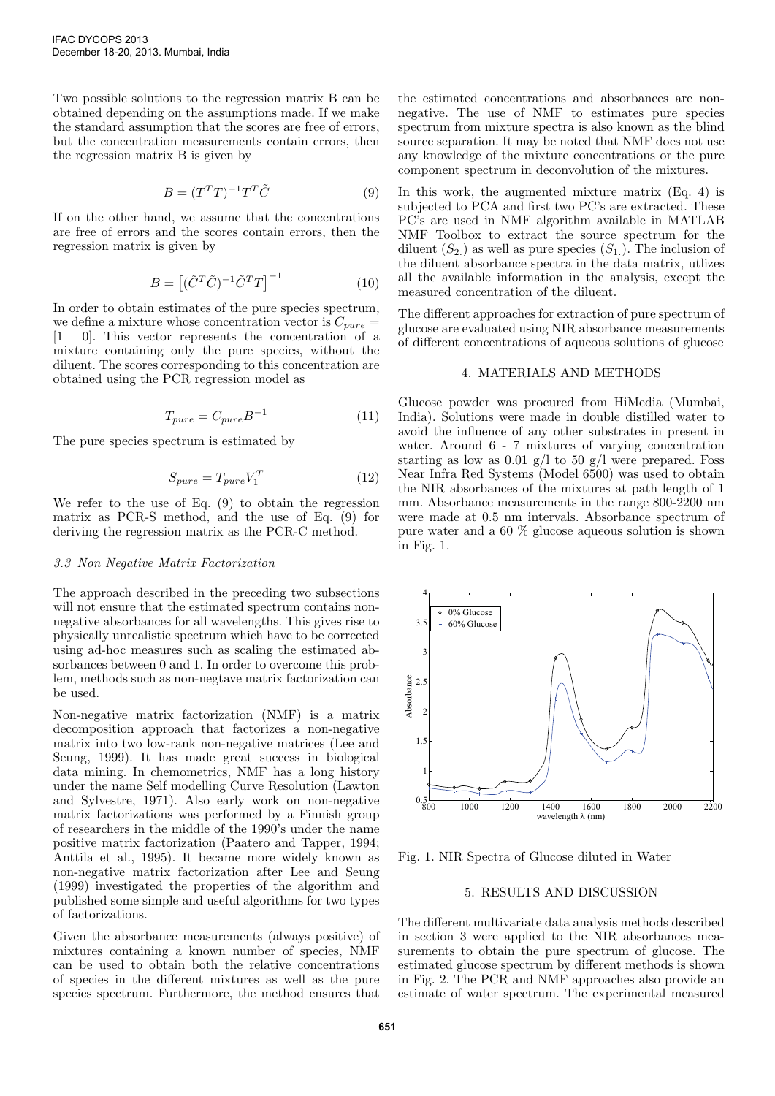Two possible solutions to the regression matrix B can be obtained depending on the assumptions made. If we make the standard assumption that the scores are free of errors, but the concentration measurements contain errors, then the regression matrix B is given by

$$
B = (T^T T)^{-1} T^T \tilde{C}
$$
\n<sup>(9)</sup>

If on the other hand, we assume that the concentrations are free of errors and the scores contain errors, then the regression matrix is given by

$$
B = \left[ (\tilde{C}^T \tilde{C})^{-1} \tilde{C}^T T \right]^{-1} \tag{10}
$$

In order to obtain estimates of the pure species spectrum, we define a mixture whose concentration vector is  $C_{pure} =$ [1 0]. This vector represents the concentration of a mixture containing only the pure species, without the diluent. The scores corresponding to this concentration are obtained using the PCR regression model as

$$
T_{pure} = C_{pure} B^{-1} \tag{11}
$$

The pure species spectrum is estimated by

$$
S_{pure} = T_{pure} V_1^T \tag{12}
$$

We refer to the use of Eq. (9) to obtain the regression matrix as PCR-S method, and the use of Eq. (9) for deriving the regression matrix as the PCR-C method.

#### 3.3 Non Negative Matrix Factorization

The approach described in the preceding two subsections will not ensure that the estimated spectrum contains nonnegative absorbances for all wavelengths. This gives rise to physically unrealistic spectrum which have to be corrected using ad-hoc measures such as scaling the estimated absorbances between 0 and 1. In order to overcome this problem, methods such as non-negtave matrix factorization can be used.

Non-negative matrix factorization (NMF) is a matrix decomposition approach that factorizes a non-negative matrix into two low-rank non-negative matrices (Lee and Seung, 1999). It has made great success in biological data mining. In chemometrics, NMF has a long history under the name Self modelling Curve Resolution (Lawton and Sylvestre, 1971). Also early work on non-negative matrix factorizations was performed by a Finnish group of researchers in the middle of the 1990's under the name positive matrix factorization (Paatero and Tapper, 1994; Anttila et al., 1995). It became more widely known as non-negative matrix factorization after Lee and Seung (1999) investigated the properties of the algorithm and published some simple and useful algorithms for two types of factorizations.

Given the absorbance measurements (always positive) of mixtures containing a known number of species, NMF can be used to obtain both the relative concentrations of species in the different mixtures as well as the pure species spectrum. Furthermore, the method ensures that

the estimated concentrations and absorbances are nonnegative. The use of NMF to estimates pure species spectrum from mixture spectra is also known as the blind source separation. It may be noted that NMF does not use any knowledge of the mixture concentrations or the pure component spectrum in deconvolution of the mixtures.

In this work, the augmented mixture matrix (Eq. 4) is subjected to PCA and first two PC's are extracted. These PC's are used in NMF algorithm available in MATLAB NMF Toolbox to extract the source spectrum for the diluent  $(S_2)$  as well as pure species  $(S_1)$ . The inclusion of the diluent absorbance spectra in the data matrix, utlizes all the available information in the analysis, except the measured concentration of the diluent.

The different approaches for extraction of pure spectrum of glucose are evaluated using NIR absorbance measurements of different concentrations of aqueous solutions of glucose

#### 4. MATERIALS AND METHODS

Glucose powder was procured from HiMedia (Mumbai, India). Solutions were made in double distilled water to avoid the influence of any other substrates in present in water. Around 6 - 7 mixtures of varying concentration starting as low as 0.01 g/l to 50 g/l were prepared. Foss Near Infra Red Systems (Model 6500) was used to obtain the NIR absorbances of the mixtures at path length of 1 mm. Absorbance measurements in the range 800-2200 nm were made at 0.5 nm intervals. Absorbance spectrum of pure water and a 60 % glucose aqueous solution is shown in Fig. 1.



Fig. 1. NIR Spectra of Glucose diluted in Water

## 5. RESULTS AND DISCUSSION

The different multivariate data analysis methods described in section 3 were applied to the NIR absorbances measurements to obtain the pure spectrum of glucose. The estimated glucose spectrum by different methods is shown in Fig. 2. The PCR and NMF approaches also provide an estimate of water spectrum. The experimental measured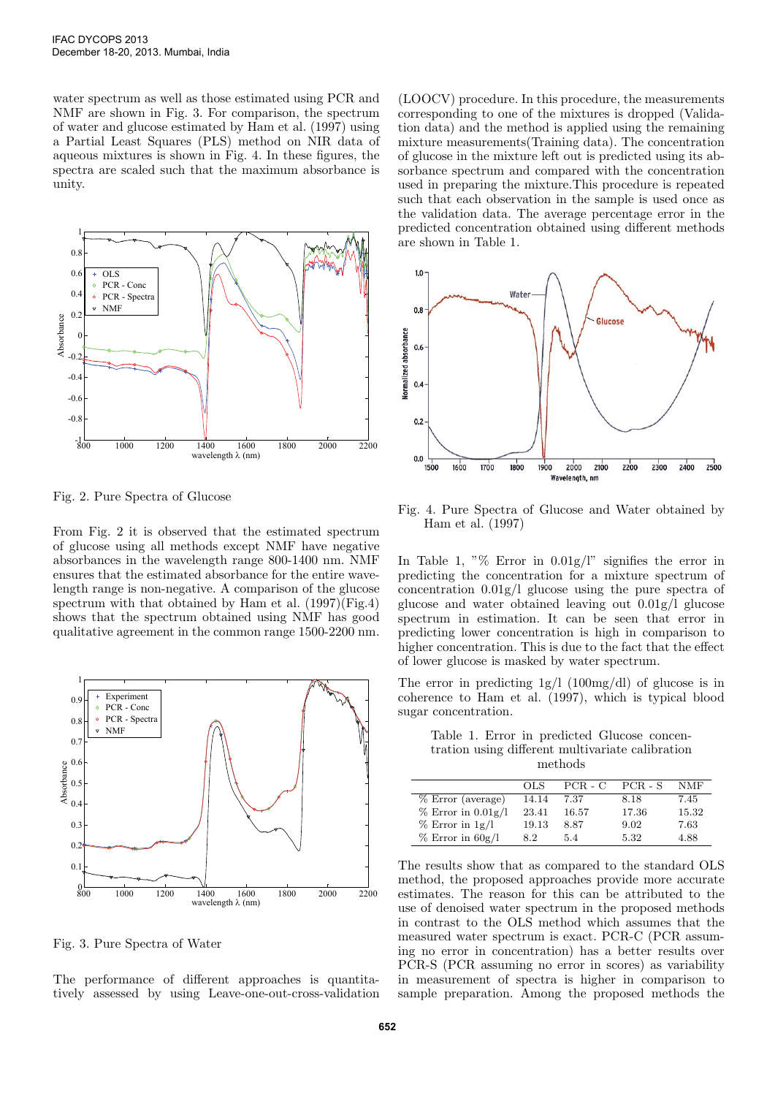water spectrum as well as those estimated using PCR and NMF are shown in Fig. 3. For comparison, the spectrum of water and glucose estimated by Ham et al. (1997) using a Partial Least Squares (PLS) method on NIR data of aqueous mixtures is shown in Fig. 4. In these figures, the spectra are scaled such that the maximum absorbance is unity.



Fig. 2. Pure Spectra of Glucose

From Fig. 2 it is observed that the estimated spectrum of glucose using all methods except NMF have negative absorbances in the wavelength range 800-1400 nm. NMF ensures that the estimated absorbance for the entire wavelength range is non-negative. A comparison of the glucose spectrum with that obtained by Ham et al.  $(1997)\overline{\text{Fig.4}}$ shows that the spectrum obtained using NMF has good qualitative agreement in the common range 1500-2200 nm.



Fig. 3. Pure Spectra of Water

The performance of different approaches is quantitatively assessed by using Leave-one-out-cross-validation (LOOCV) procedure. In this procedure, the measurements corresponding to one of the mixtures is dropped (Validation data) and the method is applied using the remaining mixture measurements(Training data). The concentration of glucose in the mixture left out is predicted using its absorbance spectrum and compared with the concentration used in preparing the mixture.This procedure is repeated such that each observation in the sample is used once as the validation data. The average percentage error in the predicted concentration obtained using different methods are shown in Table 1.



Fig. 4. Pure Spectra of Glucose and Water obtained by Ham et al. (1997)

In Table 1, "% Error in  $0.01g/l$ " signifies the error in predicting the concentration for a mixture spectrum of concentration 0.01g/l glucose using the pure spectra of glucose and water obtained leaving out 0.01g/l glucose spectrum in estimation. It can be seen that error in predicting lower concentration is high in comparison to higher concentration. This is due to the fact that the effect of lower glucose is masked by water spectrum.

The error in predicting  $1g/l$  (100mg/dl) of glucose is in coherence to Ham et al. (1997), which is typical blood sugar concentration.

Table 1. Error in predicted Glucose concentration using different multivariate calibration methods

|                        | OLS.  | $PCR - C$ | $PCR - S$ | <b>NMF</b> |
|------------------------|-------|-----------|-----------|------------|
| $%$ Error (average)    | 14.14 | 7.37      | 8.18      | 7.45       |
| $%$ Error in $0.01g/l$ | 23.41 | 16.57     | 17.36     | 15.32      |
| $\%$ Error in 1g/l     | 19.13 | 8.87      | 9.02      | 7.63       |
| $%$ Error in 60g/l     | 8.2   | 5.4       | 5.32      | 4.88       |

The results show that as compared to the standard OLS method, the proposed approaches provide more accurate estimates. The reason for this can be attributed to the use of denoised water spectrum in the proposed methods in contrast to the OLS method which assumes that the measured water spectrum is exact. PCR-C (PCR assuming no error in concentration) has a better results over PCR-S (PCR assuming no error in scores) as variability in measurement of spectra is higher in comparison to sample preparation. Among the proposed methods the